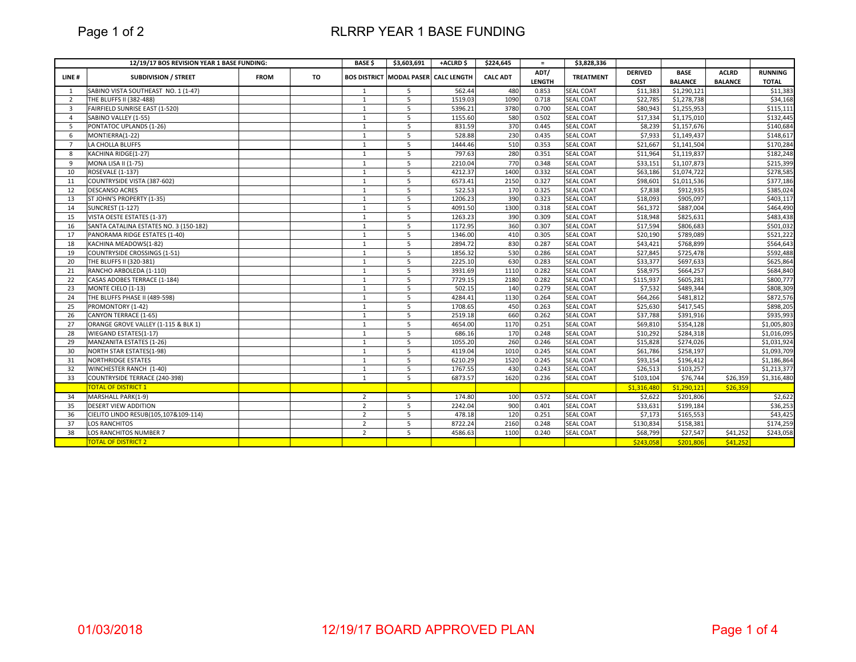Page 1 of 2

## RLRRP YEAR 1 BASE FUNDING

|                         | 12/19/17 BOS REVISION YEAR 1 BASE FUNDING: |             |    | <b>BASE \$</b> | \$3,603,691                                 | +ACLRD\$ | \$224,645       | $=$                   | \$3,828,336      |                               |                               |                                |                                |
|-------------------------|--------------------------------------------|-------------|----|----------------|---------------------------------------------|----------|-----------------|-----------------------|------------------|-------------------------------|-------------------------------|--------------------------------|--------------------------------|
| LINE#                   | <b>SUBDIVISION / STREET</b>                | <b>FROM</b> | TO |                | <b>BOS DISTRICT MODAL PASER CALC LENGTH</b> |          | <b>CALC ADT</b> | ADT/<br><b>LENGTH</b> | <b>TREATMENT</b> | <b>DERIVED</b><br><b>COST</b> | <b>BASE</b><br><b>BALANCE</b> | <b>ACLRD</b><br><b>BALANCE</b> | <b>RUNNING</b><br><b>TOTAL</b> |
| 1                       | SABINO VISTA SOUTHEAST NO. 1 (1-47)        |             |    | $\mathbf{1}$   | 5                                           | 562.44   | 480             | 0.853                 | <b>SEAL COAT</b> | \$11,383                      | \$1,290,121                   |                                | \$11,383                       |
| 2                       | THE BLUFFS II (382-488)                    |             |    | 1              | 5                                           | 1519.03  | 1090            | 0.718                 | <b>SEAL COAT</b> | \$22.785                      | \$1,278,738                   |                                | \$34,168                       |
| $\overline{\mathbf{3}}$ | FAIRFIELD SUNRISE EAST (1-520)             |             |    | $\mathbf{1}$   | 5                                           | 5396.21  | 3780            | 0.700                 | <b>SEAL COAT</b> | \$80,943                      | \$1,255,953                   |                                | \$115,111                      |
| $\Delta$                | SABINO VALLEY (1-55)                       |             |    | $\mathbf{1}$   | 5                                           | 1155.60  | 580             | 0.502                 | <b>SEAL COAT</b> | \$17,334                      | \$1,175,010                   |                                | \$132,445                      |
| -5                      | PONTATOC UPLANDS (1-26)                    |             |    | 1              | 5                                           | 831.59   | 370             | 0.445                 | <b>SEAL COAT</b> | \$8,239                       | \$1,157,676                   |                                | \$140,684                      |
| 6                       | MONTIERRA(1-22)                            |             |    | $\mathbf{1}$   | 5                                           | 528.88   | 230             | 0.435                 | <b>SEAL COAT</b> | \$7,933                       | \$1,149,437                   |                                | \$148,617                      |
| $\overline{7}$          | LA CHOLLA BLUFFS                           |             |    | $\mathbf{1}$   | $\overline{5}$                              | 1444.46  | 510             | 0.353                 | <b>SEAL COAT</b> | \$21,667                      | \$1,141,504                   |                                | \$170,284                      |
| 8                       | KACHINA RIDGE(1-27)                        |             |    | $\mathbf{1}$   | 5                                           | 797.63   | 280             | 0.351                 | <b>SEAL COAT</b> | \$11,964                      | \$1,119,837                   |                                | \$182,248                      |
| 9                       | <b>MONA LISA II (1-75)</b>                 |             |    | $\mathbf{1}$   | 5                                           | 2210.04  | 770             | 0.348                 | <b>SEAL COAT</b> | \$33,151                      | \$1,107,873                   |                                | \$215,399                      |
| 10                      | ROSEVALE (1-137)                           |             |    | $\mathbf{1}$   | 5                                           | 4212.37  | 1400            | 0.332                 | <b>SEAL COAT</b> | \$63,186                      | \$1,074,722                   |                                | \$278,585                      |
| 11                      | COUNTRYSIDE VISTA (387-602)                |             |    | $\mathbf{1}$   | 5                                           | 6573.41  | 2150            | 0.327                 | <b>SEAL COAT</b> | \$98,601                      | \$1,011,536                   |                                | \$377,186                      |
| 12                      | <b>DESCANSO ACRES</b>                      |             |    | $\mathbf{1}$   | 5                                           | 522.53   | 170             | 0.325                 | <b>SEAL COAT</b> | \$7,838                       | \$912,935                     |                                | \$385,024                      |
| 13                      | ST JOHN'S PROPERTY (1-35)                  |             |    | $\mathbf{1}$   | 5                                           | 1206.23  | 390             | 0.323                 | <b>SEAL COAT</b> | \$18,093                      | \$905,097                     |                                | \$403,117                      |
| 14                      | <b>SUNCREST (1-127)</b>                    |             |    | $\mathbf{1}$   | 5                                           | 4091.50  | 1300            | 0.318                 | <b>SEAL COAT</b> | \$61,372                      | \$887,004                     |                                | \$464,490                      |
| 15                      | VISTA OESTE ESTATES (1-37)                 |             |    | $\mathbf{1}$   | 5                                           | 1263.23  | 390             | 0.309                 | <b>SEAL COAT</b> | \$18,948                      | \$825,631                     |                                | \$483,438                      |
| 16                      | SANTA CATALINA ESTATES NO. 3 (150-182)     |             |    | 1              | 5                                           | 1172.95  | 360             | 0.307                 | <b>SEAL COAT</b> | \$17,594                      | \$806,683                     |                                | \$501,032                      |
| 17                      | PANORAMA RIDGE ESTATES (1-40)              |             |    | $\mathbf{1}$   | 5                                           | 1346.00  | 410             | 0.305                 | <b>SEAL COAT</b> | \$20,190                      | \$789,089                     |                                | \$521,222                      |
| 18                      | KACHINA MEADOWS(1-82)                      |             |    | $\mathbf{1}$   | 5                                           | 2894.72  | 830             | 0.287                 | <b>SEAL COAT</b> | \$43,421                      | \$768,899                     |                                | \$564,643                      |
| 19                      | COUNTRYSIDE CROSSINGS (1-51)               |             |    | $\mathbf{1}$   | 5                                           | 1856.32  | 530             | 0.286                 | <b>SEAL COAT</b> | \$27,845                      | \$725,478                     |                                | \$592,488                      |
| 20                      | THE BLUFFS II (320-381)                    |             |    | 1              | $\overline{5}$                              | 2225.10  | 630             | 0.283                 | <b>SEAL COAT</b> | \$33,377                      | \$697,633                     |                                | \$625,864                      |
| 21                      | RANCHO ARBOLEDA (1-110)                    |             |    | 1              | 5                                           | 3931.69  | 1110            | 0.282                 | <b>SEAL COAT</b> | \$58,975                      | \$664,257                     |                                | \$684,840                      |
| 22                      | CASAS ADOBES TERRACE (1-184)               |             |    | $\mathbf{1}$   | 5                                           | 7729.15  | 2180            | 0.282                 | <b>SEAL COAT</b> | \$115,937                     | \$605,281                     |                                | \$800,777                      |
| 23                      | MONTE CIELO (1-13)                         |             |    | 1              | 5                                           | 502.15   | 140             | 0.279                 | <b>SEAL COAT</b> | \$7,532                       | \$489,344                     |                                | \$808,309                      |
| 24                      | THE BLUFFS PHASE II (489-598)              |             |    | $\mathbf{1}$   | 5                                           | 4284.41  | 1130            | 0.264                 | <b>SEAL COAT</b> | \$64,266                      | \$481,812                     |                                | \$872,576                      |
| 25                      | PROMONTORY (1-42)                          |             |    | $\mathbf{1}$   | 5                                           | 1708.65  | 450             | 0.263                 | <b>SEAL COAT</b> | \$25,630                      | \$417,545                     |                                | \$898,205                      |
| 26                      | CANYON TERRACE (1-65)                      |             |    | $\mathbf{1}$   | 5                                           | 2519.18  | 660             | 0.262                 | <b>SEAL COAT</b> | \$37,788                      | \$391,916                     |                                | \$935,993                      |
| 27                      | ORANGE GROVE VALLEY (1-115 & BLK 1)        |             |    | $\mathbf{1}$   | 5                                           | 4654.00  | 1170            | 0.251                 | <b>SEAL COAT</b> | \$69,810                      | \$354,128                     |                                | \$1,005,803                    |
| 28                      | WIEGAND ESTATES(1-17)                      |             |    | $\mathbf{1}$   | $\overline{5}$                              | 686.16   | 170             | 0.248                 | <b>SEAL COAT</b> | \$10,292                      | \$284,318                     |                                | \$1,016,095                    |
| 29                      | MANZANITA ESTATES (1-26)                   |             |    | $\mathbf{1}$   | 5                                           | 1055.20  | 260             | 0.246                 | SEAL COAT        | \$15,828                      | \$274,026                     |                                | \$1,031,924                    |
| 30                      | NORTH STAR ESTATES(1-98)                   |             |    | 1              | 5                                           | 4119.04  | 1010            | 0.245                 | <b>SEAL COAT</b> | \$61,786                      | \$258,197                     |                                | \$1,093,709                    |
| 31                      | <b>NORTHRIDGE ESTATES</b>                  |             |    | 1              | 5                                           | 6210.29  | 1520            | 0.245                 | <b>SEAL COAT</b> | \$93,154                      | \$196,412                     |                                | \$1,186,864                    |
| 32                      | WINCHESTER RANCH (1-40)                    |             |    | $\mathbf{1}$   | 5                                           | 1767.55  | 430             | 0.243                 | <b>SEAL COAT</b> | \$26,513                      | \$103,257                     |                                | \$1,213,377                    |
| 33                      | COUNTRYSIDE TERRACE (240-398)              |             |    | $\mathbf{1}$   | 5                                           | 6873.57  | 1620            | 0.236                 | <b>SEAL COAT</b> | \$103,104                     | \$76,744                      | \$26,359                       | \$1,316,480                    |
|                         | <b>TOTAL OF DISTRICT 1</b>                 |             |    |                |                                             |          |                 |                       |                  | \$1,316,480                   | \$1,290,121                   | \$26,359                       |                                |
| 34                      | MARSHALL PARK(1-9)                         |             |    | 2              | 5                                           | 174.80   | 100             | 0.572                 | <b>SEAL COAT</b> | \$2,622                       | \$201,806                     |                                | \$2,622                        |
| 35                      | <b>DESERT VIEW ADDITION</b>                |             |    | $\overline{2}$ | 5                                           | 2242.04  | 900             | 0.401                 | <b>SEAL COAT</b> | \$33,631                      | \$199,184                     |                                | \$36,253                       |
| 36                      | CIELITO LINDO RESUB(105,107&109-114)       |             |    | $\overline{2}$ | 5                                           | 478.18   | 120             | 0.251                 | <b>SEAL COAT</b> | \$7,173                       | \$165,553                     |                                | \$43,425                       |
| 37                      | <b>LOS RANCHITOS</b>                       |             |    | $\overline{2}$ | 5                                           | 8722.24  | 2160            | 0.248                 | <b>SEAL COAT</b> | \$130,834                     | \$158,381                     |                                | \$174,259                      |
| 38                      | LOS RANCHITOS NUMBER 7                     |             |    | $\overline{2}$ | $\overline{5}$                              | 4586.63  | 1100            | 0.240                 | <b>SEAL COAT</b> | \$68,799                      | \$27,547                      | \$41,252                       | \$243,058                      |
|                         | <b>TOTAL OF DISTRICT 2</b>                 |             |    |                |                                             |          |                 |                       |                  | \$243,058                     | \$201,806                     | \$41,252                       |                                |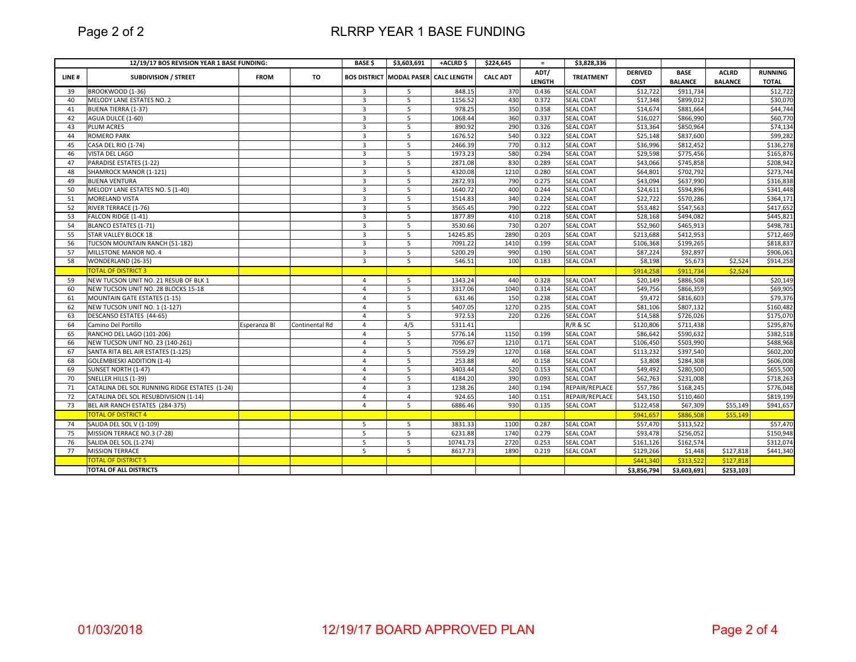Page 2 of 2

## RLRRP YEAR 1 BASE FUNDING

| ADT/<br><b>DERIVED</b><br><b>BASE</b><br><b>ACLRD</b><br><b>RUNNING</b><br>LINE#<br><b>SUBDIVISION / STREET</b><br><b>BOS DISTRICT MODAL PASER CALC LENGTH</b><br><b>CALC ADT</b><br><b>TREATMENT</b><br><b>FROM</b><br>TO<br><b>LENGTH</b><br>COST<br><b>BALANCE</b><br><b>BALANCE</b><br><b>TOTAL</b><br>BROOKWOOD (1-36)<br>0.436<br><b>SEAL COAT</b><br>39<br>848.15<br>370<br>\$12,722<br>\$911,734<br>\$12,722<br>$\overline{3}$<br>5<br>5<br>1156.52<br>0.372<br><b>SEAL COAT</b><br>\$899,012<br>MELODY LANE ESTATES NO. 2<br>$\overline{3}$<br>430<br>\$17,348<br>40<br>978.25<br>350<br><b>SEAL COAT</b><br>\$881,664<br><b>BUENA TIERRA (1-37)</b><br>$\overline{3}$<br>5<br>0.358<br>\$14,674<br>41<br>360<br>AGUA DULCE (1-60)<br>$\overline{3}$<br>1068.44<br>0.337<br><b>SEAL COAT</b><br>\$16,027<br>\$866,990<br>42<br>$\overline{3}$<br>5<br>890.92<br>290<br>0.326<br><b>SEAL COAT</b><br>\$850,964<br>43<br>PLUM ACRES<br>\$13,364<br>1676.52<br>\$837,600<br><b>ROMERO PARK</b><br>$\overline{3}$<br>5<br>540<br>0.322<br><b>SEAL COAT</b><br>\$25,148<br>44<br>$\overline{3}$<br>5<br>770<br>\$812,452<br>CASA DEL RIO (1-74)<br>2466.39<br>0.312<br><b>SEAL COAT</b><br>\$36,996<br>45<br>5<br>1973.23<br>580<br><b>SEAL COAT</b><br>46<br><b>VISTA DEL LAGO</b><br>3<br>0.294<br>\$29,598<br>\$775,456<br>5<br>47<br>PARADISE ESTATES (1-22)<br>$\overline{3}$<br>2871.08<br>830<br>0.289<br><b>SEAL COAT</b><br>\$43,066<br>\$745,858<br>4320.08<br>SHAMROCK MANOR (1-121)<br>3<br>5<br>1210<br>0.280<br><b>SEAL COAT</b><br>\$64,801<br>\$702,792<br>48<br>2872.93<br>790<br>\$637,990<br><b>BUENA VENTURA</b><br>$\overline{3}$<br>5<br>0.275<br><b>SEAL COAT</b><br>\$43,094<br>49<br>$\overline{3}$<br>5<br>1640.72<br><b>SEAL COAT</b><br>\$594,896<br>MELODY LANE ESTATES NO. 5 (1-40)<br>400<br>0.244<br>\$24,611<br>50<br>340<br><b>SEAL COAT</b><br><b>MORELAND VISTA</b><br>3<br>5<br>1514.83<br>0.224<br>\$22,722<br>\$570,286<br>51<br>$\overline{5}$<br>3565.45<br>790<br><b>SEAL COAT</b><br>\$547,563<br>52<br>RIVER TERRACE (1-76)<br>$\overline{3}$<br>0.222<br>\$53,482<br>$\overline{3}$<br>5<br>1877.89<br>410<br>0.218<br><b>SEAL COAT</b><br>\$28,168<br>\$494,082<br>53<br>FALCON RIDGE (1-41)<br>3530.66<br>54<br>BLANCO ESTATES (1-71)<br>730<br>0.207<br><b>SEAL COAT</b><br>\$52,960<br>\$465,913<br>$\overline{3}$<br>5<br>5<br>14245.85<br>\$412,953<br><b>STAR VALLEY BLOCK 18</b><br>$\overline{3}$<br>2890<br>0.203<br><b>SEAL COAT</b><br>\$213,688<br>55<br>TUCSON MOUNTAIN RANCH (51-182)<br><b>SEAL COAT</b><br>56<br>$\overline{3}$<br>5<br>7091.22<br>1410<br>0.199<br>\$106,368<br>\$199,265<br>5<br>57<br>$\overline{3}$<br>5200.29<br>990<br>0.190<br><b>SEAL COAT</b><br>\$87,224<br>\$92,897<br>MILLSTONE MANOR NO. 4<br>$\overline{3}$<br>5<br>546.51<br>100<br>0.183<br><b>SEAL COAT</b><br>\$8,198<br>\$5,673<br>58<br>WONDERLAND (26-35)<br>\$2.524<br><b>TOTAL OF DISTRICT 3</b><br>\$914,258<br>\$911,734<br>\$2,524<br><b>SEAL COAT</b><br>NEW TUCSON UNIT NO. 21 RESUB OF BLK 1<br>5<br>1343.24<br>440<br>0.328<br>\$20,149<br>\$886,508<br>59<br>$\overline{4}$<br>NEW TUCSON UNIT NO. 28 BLOCKS 15-18<br>5<br>3317.06<br>1040<br>0.314<br><b>SEAL COAT</b><br>\$49,756<br>\$866,359<br>60<br>$\overline{4}$<br><b>MOUNTAIN GATE ESTATES (1-15)</b><br>631.46<br>150<br>0.238<br><b>SEAL COAT</b><br>\$9,472<br>\$816,603<br>61<br>5<br>$\overline{4}$<br>5<br>5407.05<br>\$807,132<br>NEW TUCSON UNIT NO. 1 (1-127)<br>1270<br>0.235<br><b>SEAL COAT</b><br>\$81,106<br>62<br>$\overline{4}$<br>220<br>DESCANSO ESTATES (44-65)<br>5<br>972.53<br>0.226<br>SEAL COAT<br>\$14,588<br>\$726,026<br>63<br>$\overline{4}$<br>4/5<br>5311.41<br>R/R & SC<br>\$120,806<br>\$711,438<br>64<br>Camino Del Portillo<br>$\overline{4}$<br>Esperanza Bl<br>Continental Rd<br>RANCHO DEL LAGO (101-206)<br>5<br>5776.14<br><b>SEAL COAT</b><br>\$590,632<br>65<br>$\overline{4}$<br>1150<br>0.199<br>\$86.642<br>NEW TUCSON UNIT NO. 23 (140-261)<br>5<br>7096.67<br>1210<br>0.171<br><b>SEAL COAT</b><br>\$503,990<br>66<br>\$106,450<br>4<br>5<br>7559.29<br>SANTA RITA BEL AIR ESTATES (1-125)<br>1270<br>0.168<br><b>SEAL COAT</b><br>\$113,232<br>\$397,540<br>67<br>$\overline{4}$ |
|------------------------------------------------------------------------------------------------------------------------------------------------------------------------------------------------------------------------------------------------------------------------------------------------------------------------------------------------------------------------------------------------------------------------------------------------------------------------------------------------------------------------------------------------------------------------------------------------------------------------------------------------------------------------------------------------------------------------------------------------------------------------------------------------------------------------------------------------------------------------------------------------------------------------------------------------------------------------------------------------------------------------------------------------------------------------------------------------------------------------------------------------------------------------------------------------------------------------------------------------------------------------------------------------------------------------------------------------------------------------------------------------------------------------------------------------------------------------------------------------------------------------------------------------------------------------------------------------------------------------------------------------------------------------------------------------------------------------------------------------------------------------------------------------------------------------------------------------------------------------------------------------------------------------------------------------------------------------------------------------------------------------------------------------------------------------------------------------------------------------------------------------------------------------------------------------------------------------------------------------------------------------------------------------------------------------------------------------------------------------------------------------------------------------------------------------------------------------------------------------------------------------------------------------------------------------------------------------------------------------------------------------------------------------------------------------------------------------------------------------------------------------------------------------------------------------------------------------------------------------------------------------------------------------------------------------------------------------------------------------------------------------------------------------------------------------------------------------------------------------------------------------------------------------------------------------------------------------------------------------------------------------------------------------------------------------------------------------------------------------------------------------------------------------------------------------------------------------------------------------------------------------------------------------------------------------------------------------------------------------------------------------------------------------------------------------------------------------------------------------------------------------------------------------------------------------------------------------------------------------------------------------------------------------------------------------------------------------------------------------------------------------------------------------------------------------------------------------------------------------------------------------------------------------------------------------------------------------------------------------------------|
|                                                                                                                                                                                                                                                                                                                                                                                                                                                                                                                                                                                                                                                                                                                                                                                                                                                                                                                                                                                                                                                                                                                                                                                                                                                                                                                                                                                                                                                                                                                                                                                                                                                                                                                                                                                                                                                                                                                                                                                                                                                                                                                                                                                                                                                                                                                                                                                                                                                                                                                                                                                                                                                                                                                                                                                                                                                                                                                                                                                                                                                                                                                                                                                                                                                                                                                                                                                                                                                                                                                                                                                                                                                                                                                                                                                                                                                                                                                                                                                                                                                                                                                                                                                                                                                            |
| \$30,070<br>\$44,744<br>\$60,770<br>\$74,134<br>\$99,282<br>\$136,278<br>\$165,876<br>\$208,942<br>\$273,744<br>\$316,838<br>\$341,448<br>\$364,171<br>\$417,652<br>\$445,821<br>\$498,781<br>\$712,469<br>\$818,837<br>\$906,061<br>\$914,258<br>\$20,149<br>\$69,905<br>\$79,376<br>\$160,482<br>\$175,070<br>\$295,876<br>\$382,518<br>\$488,968<br>\$602,200                                                                                                                                                                                                                                                                                                                                                                                                                                                                                                                                                                                                                                                                                                                                                                                                                                                                                                                                                                                                                                                                                                                                                                                                                                                                                                                                                                                                                                                                                                                                                                                                                                                                                                                                                                                                                                                                                                                                                                                                                                                                                                                                                                                                                                                                                                                                                                                                                                                                                                                                                                                                                                                                                                                                                                                                                                                                                                                                                                                                                                                                                                                                                                                                                                                                                                                                                                                                                                                                                                                                                                                                                                                                                                                                                                                                                                                                                           |
|                                                                                                                                                                                                                                                                                                                                                                                                                                                                                                                                                                                                                                                                                                                                                                                                                                                                                                                                                                                                                                                                                                                                                                                                                                                                                                                                                                                                                                                                                                                                                                                                                                                                                                                                                                                                                                                                                                                                                                                                                                                                                                                                                                                                                                                                                                                                                                                                                                                                                                                                                                                                                                                                                                                                                                                                                                                                                                                                                                                                                                                                                                                                                                                                                                                                                                                                                                                                                                                                                                                                                                                                                                                                                                                                                                                                                                                                                                                                                                                                                                                                                                                                                                                                                                                            |
|                                                                                                                                                                                                                                                                                                                                                                                                                                                                                                                                                                                                                                                                                                                                                                                                                                                                                                                                                                                                                                                                                                                                                                                                                                                                                                                                                                                                                                                                                                                                                                                                                                                                                                                                                                                                                                                                                                                                                                                                                                                                                                                                                                                                                                                                                                                                                                                                                                                                                                                                                                                                                                                                                                                                                                                                                                                                                                                                                                                                                                                                                                                                                                                                                                                                                                                                                                                                                                                                                                                                                                                                                                                                                                                                                                                                                                                                                                                                                                                                                                                                                                                                                                                                                                                            |
|                                                                                                                                                                                                                                                                                                                                                                                                                                                                                                                                                                                                                                                                                                                                                                                                                                                                                                                                                                                                                                                                                                                                                                                                                                                                                                                                                                                                                                                                                                                                                                                                                                                                                                                                                                                                                                                                                                                                                                                                                                                                                                                                                                                                                                                                                                                                                                                                                                                                                                                                                                                                                                                                                                                                                                                                                                                                                                                                                                                                                                                                                                                                                                                                                                                                                                                                                                                                                                                                                                                                                                                                                                                                                                                                                                                                                                                                                                                                                                                                                                                                                                                                                                                                                                                            |
|                                                                                                                                                                                                                                                                                                                                                                                                                                                                                                                                                                                                                                                                                                                                                                                                                                                                                                                                                                                                                                                                                                                                                                                                                                                                                                                                                                                                                                                                                                                                                                                                                                                                                                                                                                                                                                                                                                                                                                                                                                                                                                                                                                                                                                                                                                                                                                                                                                                                                                                                                                                                                                                                                                                                                                                                                                                                                                                                                                                                                                                                                                                                                                                                                                                                                                                                                                                                                                                                                                                                                                                                                                                                                                                                                                                                                                                                                                                                                                                                                                                                                                                                                                                                                                                            |
|                                                                                                                                                                                                                                                                                                                                                                                                                                                                                                                                                                                                                                                                                                                                                                                                                                                                                                                                                                                                                                                                                                                                                                                                                                                                                                                                                                                                                                                                                                                                                                                                                                                                                                                                                                                                                                                                                                                                                                                                                                                                                                                                                                                                                                                                                                                                                                                                                                                                                                                                                                                                                                                                                                                                                                                                                                                                                                                                                                                                                                                                                                                                                                                                                                                                                                                                                                                                                                                                                                                                                                                                                                                                                                                                                                                                                                                                                                                                                                                                                                                                                                                                                                                                                                                            |
|                                                                                                                                                                                                                                                                                                                                                                                                                                                                                                                                                                                                                                                                                                                                                                                                                                                                                                                                                                                                                                                                                                                                                                                                                                                                                                                                                                                                                                                                                                                                                                                                                                                                                                                                                                                                                                                                                                                                                                                                                                                                                                                                                                                                                                                                                                                                                                                                                                                                                                                                                                                                                                                                                                                                                                                                                                                                                                                                                                                                                                                                                                                                                                                                                                                                                                                                                                                                                                                                                                                                                                                                                                                                                                                                                                                                                                                                                                                                                                                                                                                                                                                                                                                                                                                            |
|                                                                                                                                                                                                                                                                                                                                                                                                                                                                                                                                                                                                                                                                                                                                                                                                                                                                                                                                                                                                                                                                                                                                                                                                                                                                                                                                                                                                                                                                                                                                                                                                                                                                                                                                                                                                                                                                                                                                                                                                                                                                                                                                                                                                                                                                                                                                                                                                                                                                                                                                                                                                                                                                                                                                                                                                                                                                                                                                                                                                                                                                                                                                                                                                                                                                                                                                                                                                                                                                                                                                                                                                                                                                                                                                                                                                                                                                                                                                                                                                                                                                                                                                                                                                                                                            |
|                                                                                                                                                                                                                                                                                                                                                                                                                                                                                                                                                                                                                                                                                                                                                                                                                                                                                                                                                                                                                                                                                                                                                                                                                                                                                                                                                                                                                                                                                                                                                                                                                                                                                                                                                                                                                                                                                                                                                                                                                                                                                                                                                                                                                                                                                                                                                                                                                                                                                                                                                                                                                                                                                                                                                                                                                                                                                                                                                                                                                                                                                                                                                                                                                                                                                                                                                                                                                                                                                                                                                                                                                                                                                                                                                                                                                                                                                                                                                                                                                                                                                                                                                                                                                                                            |
|                                                                                                                                                                                                                                                                                                                                                                                                                                                                                                                                                                                                                                                                                                                                                                                                                                                                                                                                                                                                                                                                                                                                                                                                                                                                                                                                                                                                                                                                                                                                                                                                                                                                                                                                                                                                                                                                                                                                                                                                                                                                                                                                                                                                                                                                                                                                                                                                                                                                                                                                                                                                                                                                                                                                                                                                                                                                                                                                                                                                                                                                                                                                                                                                                                                                                                                                                                                                                                                                                                                                                                                                                                                                                                                                                                                                                                                                                                                                                                                                                                                                                                                                                                                                                                                            |
|                                                                                                                                                                                                                                                                                                                                                                                                                                                                                                                                                                                                                                                                                                                                                                                                                                                                                                                                                                                                                                                                                                                                                                                                                                                                                                                                                                                                                                                                                                                                                                                                                                                                                                                                                                                                                                                                                                                                                                                                                                                                                                                                                                                                                                                                                                                                                                                                                                                                                                                                                                                                                                                                                                                                                                                                                                                                                                                                                                                                                                                                                                                                                                                                                                                                                                                                                                                                                                                                                                                                                                                                                                                                                                                                                                                                                                                                                                                                                                                                                                                                                                                                                                                                                                                            |
|                                                                                                                                                                                                                                                                                                                                                                                                                                                                                                                                                                                                                                                                                                                                                                                                                                                                                                                                                                                                                                                                                                                                                                                                                                                                                                                                                                                                                                                                                                                                                                                                                                                                                                                                                                                                                                                                                                                                                                                                                                                                                                                                                                                                                                                                                                                                                                                                                                                                                                                                                                                                                                                                                                                                                                                                                                                                                                                                                                                                                                                                                                                                                                                                                                                                                                                                                                                                                                                                                                                                                                                                                                                                                                                                                                                                                                                                                                                                                                                                                                                                                                                                                                                                                                                            |
|                                                                                                                                                                                                                                                                                                                                                                                                                                                                                                                                                                                                                                                                                                                                                                                                                                                                                                                                                                                                                                                                                                                                                                                                                                                                                                                                                                                                                                                                                                                                                                                                                                                                                                                                                                                                                                                                                                                                                                                                                                                                                                                                                                                                                                                                                                                                                                                                                                                                                                                                                                                                                                                                                                                                                                                                                                                                                                                                                                                                                                                                                                                                                                                                                                                                                                                                                                                                                                                                                                                                                                                                                                                                                                                                                                                                                                                                                                                                                                                                                                                                                                                                                                                                                                                            |
|                                                                                                                                                                                                                                                                                                                                                                                                                                                                                                                                                                                                                                                                                                                                                                                                                                                                                                                                                                                                                                                                                                                                                                                                                                                                                                                                                                                                                                                                                                                                                                                                                                                                                                                                                                                                                                                                                                                                                                                                                                                                                                                                                                                                                                                                                                                                                                                                                                                                                                                                                                                                                                                                                                                                                                                                                                                                                                                                                                                                                                                                                                                                                                                                                                                                                                                                                                                                                                                                                                                                                                                                                                                                                                                                                                                                                                                                                                                                                                                                                                                                                                                                                                                                                                                            |
|                                                                                                                                                                                                                                                                                                                                                                                                                                                                                                                                                                                                                                                                                                                                                                                                                                                                                                                                                                                                                                                                                                                                                                                                                                                                                                                                                                                                                                                                                                                                                                                                                                                                                                                                                                                                                                                                                                                                                                                                                                                                                                                                                                                                                                                                                                                                                                                                                                                                                                                                                                                                                                                                                                                                                                                                                                                                                                                                                                                                                                                                                                                                                                                                                                                                                                                                                                                                                                                                                                                                                                                                                                                                                                                                                                                                                                                                                                                                                                                                                                                                                                                                                                                                                                                            |
|                                                                                                                                                                                                                                                                                                                                                                                                                                                                                                                                                                                                                                                                                                                                                                                                                                                                                                                                                                                                                                                                                                                                                                                                                                                                                                                                                                                                                                                                                                                                                                                                                                                                                                                                                                                                                                                                                                                                                                                                                                                                                                                                                                                                                                                                                                                                                                                                                                                                                                                                                                                                                                                                                                                                                                                                                                                                                                                                                                                                                                                                                                                                                                                                                                                                                                                                                                                                                                                                                                                                                                                                                                                                                                                                                                                                                                                                                                                                                                                                                                                                                                                                                                                                                                                            |
|                                                                                                                                                                                                                                                                                                                                                                                                                                                                                                                                                                                                                                                                                                                                                                                                                                                                                                                                                                                                                                                                                                                                                                                                                                                                                                                                                                                                                                                                                                                                                                                                                                                                                                                                                                                                                                                                                                                                                                                                                                                                                                                                                                                                                                                                                                                                                                                                                                                                                                                                                                                                                                                                                                                                                                                                                                                                                                                                                                                                                                                                                                                                                                                                                                                                                                                                                                                                                                                                                                                                                                                                                                                                                                                                                                                                                                                                                                                                                                                                                                                                                                                                                                                                                                                            |
|                                                                                                                                                                                                                                                                                                                                                                                                                                                                                                                                                                                                                                                                                                                                                                                                                                                                                                                                                                                                                                                                                                                                                                                                                                                                                                                                                                                                                                                                                                                                                                                                                                                                                                                                                                                                                                                                                                                                                                                                                                                                                                                                                                                                                                                                                                                                                                                                                                                                                                                                                                                                                                                                                                                                                                                                                                                                                                                                                                                                                                                                                                                                                                                                                                                                                                                                                                                                                                                                                                                                                                                                                                                                                                                                                                                                                                                                                                                                                                                                                                                                                                                                                                                                                                                            |
|                                                                                                                                                                                                                                                                                                                                                                                                                                                                                                                                                                                                                                                                                                                                                                                                                                                                                                                                                                                                                                                                                                                                                                                                                                                                                                                                                                                                                                                                                                                                                                                                                                                                                                                                                                                                                                                                                                                                                                                                                                                                                                                                                                                                                                                                                                                                                                                                                                                                                                                                                                                                                                                                                                                                                                                                                                                                                                                                                                                                                                                                                                                                                                                                                                                                                                                                                                                                                                                                                                                                                                                                                                                                                                                                                                                                                                                                                                                                                                                                                                                                                                                                                                                                                                                            |
|                                                                                                                                                                                                                                                                                                                                                                                                                                                                                                                                                                                                                                                                                                                                                                                                                                                                                                                                                                                                                                                                                                                                                                                                                                                                                                                                                                                                                                                                                                                                                                                                                                                                                                                                                                                                                                                                                                                                                                                                                                                                                                                                                                                                                                                                                                                                                                                                                                                                                                                                                                                                                                                                                                                                                                                                                                                                                                                                                                                                                                                                                                                                                                                                                                                                                                                                                                                                                                                                                                                                                                                                                                                                                                                                                                                                                                                                                                                                                                                                                                                                                                                                                                                                                                                            |
|                                                                                                                                                                                                                                                                                                                                                                                                                                                                                                                                                                                                                                                                                                                                                                                                                                                                                                                                                                                                                                                                                                                                                                                                                                                                                                                                                                                                                                                                                                                                                                                                                                                                                                                                                                                                                                                                                                                                                                                                                                                                                                                                                                                                                                                                                                                                                                                                                                                                                                                                                                                                                                                                                                                                                                                                                                                                                                                                                                                                                                                                                                                                                                                                                                                                                                                                                                                                                                                                                                                                                                                                                                                                                                                                                                                                                                                                                                                                                                                                                                                                                                                                                                                                                                                            |
|                                                                                                                                                                                                                                                                                                                                                                                                                                                                                                                                                                                                                                                                                                                                                                                                                                                                                                                                                                                                                                                                                                                                                                                                                                                                                                                                                                                                                                                                                                                                                                                                                                                                                                                                                                                                                                                                                                                                                                                                                                                                                                                                                                                                                                                                                                                                                                                                                                                                                                                                                                                                                                                                                                                                                                                                                                                                                                                                                                                                                                                                                                                                                                                                                                                                                                                                                                                                                                                                                                                                                                                                                                                                                                                                                                                                                                                                                                                                                                                                                                                                                                                                                                                                                                                            |
|                                                                                                                                                                                                                                                                                                                                                                                                                                                                                                                                                                                                                                                                                                                                                                                                                                                                                                                                                                                                                                                                                                                                                                                                                                                                                                                                                                                                                                                                                                                                                                                                                                                                                                                                                                                                                                                                                                                                                                                                                                                                                                                                                                                                                                                                                                                                                                                                                                                                                                                                                                                                                                                                                                                                                                                                                                                                                                                                                                                                                                                                                                                                                                                                                                                                                                                                                                                                                                                                                                                                                                                                                                                                                                                                                                                                                                                                                                                                                                                                                                                                                                                                                                                                                                                            |
|                                                                                                                                                                                                                                                                                                                                                                                                                                                                                                                                                                                                                                                                                                                                                                                                                                                                                                                                                                                                                                                                                                                                                                                                                                                                                                                                                                                                                                                                                                                                                                                                                                                                                                                                                                                                                                                                                                                                                                                                                                                                                                                                                                                                                                                                                                                                                                                                                                                                                                                                                                                                                                                                                                                                                                                                                                                                                                                                                                                                                                                                                                                                                                                                                                                                                                                                                                                                                                                                                                                                                                                                                                                                                                                                                                                                                                                                                                                                                                                                                                                                                                                                                                                                                                                            |
|                                                                                                                                                                                                                                                                                                                                                                                                                                                                                                                                                                                                                                                                                                                                                                                                                                                                                                                                                                                                                                                                                                                                                                                                                                                                                                                                                                                                                                                                                                                                                                                                                                                                                                                                                                                                                                                                                                                                                                                                                                                                                                                                                                                                                                                                                                                                                                                                                                                                                                                                                                                                                                                                                                                                                                                                                                                                                                                                                                                                                                                                                                                                                                                                                                                                                                                                                                                                                                                                                                                                                                                                                                                                                                                                                                                                                                                                                                                                                                                                                                                                                                                                                                                                                                                            |
|                                                                                                                                                                                                                                                                                                                                                                                                                                                                                                                                                                                                                                                                                                                                                                                                                                                                                                                                                                                                                                                                                                                                                                                                                                                                                                                                                                                                                                                                                                                                                                                                                                                                                                                                                                                                                                                                                                                                                                                                                                                                                                                                                                                                                                                                                                                                                                                                                                                                                                                                                                                                                                                                                                                                                                                                                                                                                                                                                                                                                                                                                                                                                                                                                                                                                                                                                                                                                                                                                                                                                                                                                                                                                                                                                                                                                                                                                                                                                                                                                                                                                                                                                                                                                                                            |
|                                                                                                                                                                                                                                                                                                                                                                                                                                                                                                                                                                                                                                                                                                                                                                                                                                                                                                                                                                                                                                                                                                                                                                                                                                                                                                                                                                                                                                                                                                                                                                                                                                                                                                                                                                                                                                                                                                                                                                                                                                                                                                                                                                                                                                                                                                                                                                                                                                                                                                                                                                                                                                                                                                                                                                                                                                                                                                                                                                                                                                                                                                                                                                                                                                                                                                                                                                                                                                                                                                                                                                                                                                                                                                                                                                                                                                                                                                                                                                                                                                                                                                                                                                                                                                                            |
|                                                                                                                                                                                                                                                                                                                                                                                                                                                                                                                                                                                                                                                                                                                                                                                                                                                                                                                                                                                                                                                                                                                                                                                                                                                                                                                                                                                                                                                                                                                                                                                                                                                                                                                                                                                                                                                                                                                                                                                                                                                                                                                                                                                                                                                                                                                                                                                                                                                                                                                                                                                                                                                                                                                                                                                                                                                                                                                                                                                                                                                                                                                                                                                                                                                                                                                                                                                                                                                                                                                                                                                                                                                                                                                                                                                                                                                                                                                                                                                                                                                                                                                                                                                                                                                            |
|                                                                                                                                                                                                                                                                                                                                                                                                                                                                                                                                                                                                                                                                                                                                                                                                                                                                                                                                                                                                                                                                                                                                                                                                                                                                                                                                                                                                                                                                                                                                                                                                                                                                                                                                                                                                                                                                                                                                                                                                                                                                                                                                                                                                                                                                                                                                                                                                                                                                                                                                                                                                                                                                                                                                                                                                                                                                                                                                                                                                                                                                                                                                                                                                                                                                                                                                                                                                                                                                                                                                                                                                                                                                                                                                                                                                                                                                                                                                                                                                                                                                                                                                                                                                                                                            |
|                                                                                                                                                                                                                                                                                                                                                                                                                                                                                                                                                                                                                                                                                                                                                                                                                                                                                                                                                                                                                                                                                                                                                                                                                                                                                                                                                                                                                                                                                                                                                                                                                                                                                                                                                                                                                                                                                                                                                                                                                                                                                                                                                                                                                                                                                                                                                                                                                                                                                                                                                                                                                                                                                                                                                                                                                                                                                                                                                                                                                                                                                                                                                                                                                                                                                                                                                                                                                                                                                                                                                                                                                                                                                                                                                                                                                                                                                                                                                                                                                                                                                                                                                                                                                                                            |
| 253.88<br>\$606,008<br>68<br><b>GOLEMBIESKI ADDITION (1-4)</b><br>$\overline{4}$<br>5<br>40<br>0.158<br>SEAL COAT<br>\$3,808<br>\$284,308                                                                                                                                                                                                                                                                                                                                                                                                                                                                                                                                                                                                                                                                                                                                                                                                                                                                                                                                                                                                                                                                                                                                                                                                                                                                                                                                                                                                                                                                                                                                                                                                                                                                                                                                                                                                                                                                                                                                                                                                                                                                                                                                                                                                                                                                                                                                                                                                                                                                                                                                                                                                                                                                                                                                                                                                                                                                                                                                                                                                                                                                                                                                                                                                                                                                                                                                                                                                                                                                                                                                                                                                                                                                                                                                                                                                                                                                                                                                                                                                                                                                                                                  |
| 5<br>520<br>3403.44<br>0.153<br>SEAL COAT<br>\$49,492<br>\$280,500<br>\$655,500<br>69<br>SUNSET NORTH (1-47)<br>$\overline{4}$                                                                                                                                                                                                                                                                                                                                                                                                                                                                                                                                                                                                                                                                                                                                                                                                                                                                                                                                                                                                                                                                                                                                                                                                                                                                                                                                                                                                                                                                                                                                                                                                                                                                                                                                                                                                                                                                                                                                                                                                                                                                                                                                                                                                                                                                                                                                                                                                                                                                                                                                                                                                                                                                                                                                                                                                                                                                                                                                                                                                                                                                                                                                                                                                                                                                                                                                                                                                                                                                                                                                                                                                                                                                                                                                                                                                                                                                                                                                                                                                                                                                                                                             |
| SNELLER HILLS (1-39)<br>5<br>4184.20<br>390<br>0.093<br><b>SEAL COAT</b><br>\$62,763<br>\$231,008<br>\$718,263<br>70<br>$\overline{4}$                                                                                                                                                                                                                                                                                                                                                                                                                                                                                                                                                                                                                                                                                                                                                                                                                                                                                                                                                                                                                                                                                                                                                                                                                                                                                                                                                                                                                                                                                                                                                                                                                                                                                                                                                                                                                                                                                                                                                                                                                                                                                                                                                                                                                                                                                                                                                                                                                                                                                                                                                                                                                                                                                                                                                                                                                                                                                                                                                                                                                                                                                                                                                                                                                                                                                                                                                                                                                                                                                                                                                                                                                                                                                                                                                                                                                                                                                                                                                                                                                                                                                                                     |
| REPAIR/REPLACE<br>CATALINA DEL SOL RUNNING RIDGE ESTATES (1-24)<br>1238.26<br>240<br>\$57,786<br>\$168,245<br>71<br>3<br>0.194<br>\$776,048<br>$\overline{4}$                                                                                                                                                                                                                                                                                                                                                                                                                                                                                                                                                                                                                                                                                                                                                                                                                                                                                                                                                                                                                                                                                                                                                                                                                                                                                                                                                                                                                                                                                                                                                                                                                                                                                                                                                                                                                                                                                                                                                                                                                                                                                                                                                                                                                                                                                                                                                                                                                                                                                                                                                                                                                                                                                                                                                                                                                                                                                                                                                                                                                                                                                                                                                                                                                                                                                                                                                                                                                                                                                                                                                                                                                                                                                                                                                                                                                                                                                                                                                                                                                                                                                              |
| $\overline{4}$<br>924.65<br>140<br>\$110,460<br>CATALINA DEL SOL RESUBDIVISION (1-14)<br>$\overline{4}$<br>0.151<br>REPAIR/REPLACE<br>\$43,150<br>\$819,199<br>72                                                                                                                                                                                                                                                                                                                                                                                                                                                                                                                                                                                                                                                                                                                                                                                                                                                                                                                                                                                                                                                                                                                                                                                                                                                                                                                                                                                                                                                                                                                                                                                                                                                                                                                                                                                                                                                                                                                                                                                                                                                                                                                                                                                                                                                                                                                                                                                                                                                                                                                                                                                                                                                                                                                                                                                                                                                                                                                                                                                                                                                                                                                                                                                                                                                                                                                                                                                                                                                                                                                                                                                                                                                                                                                                                                                                                                                                                                                                                                                                                                                                                          |
| 930<br>73<br>BEL AIR RANCH ESTATES (284-375)<br>$\overline{4}$<br>5<br>6886.46<br>0.135<br>SEAL COAT<br>\$122,458<br>\$67,309<br>\$55,149<br>\$941,657                                                                                                                                                                                                                                                                                                                                                                                                                                                                                                                                                                                                                                                                                                                                                                                                                                                                                                                                                                                                                                                                                                                                                                                                                                                                                                                                                                                                                                                                                                                                                                                                                                                                                                                                                                                                                                                                                                                                                                                                                                                                                                                                                                                                                                                                                                                                                                                                                                                                                                                                                                                                                                                                                                                                                                                                                                                                                                                                                                                                                                                                                                                                                                                                                                                                                                                                                                                                                                                                                                                                                                                                                                                                                                                                                                                                                                                                                                                                                                                                                                                                                                     |
| <b>TOTAL OF DISTRICT 4</b><br>\$941,657<br>\$886,508<br>\$55,149                                                                                                                                                                                                                                                                                                                                                                                                                                                                                                                                                                                                                                                                                                                                                                                                                                                                                                                                                                                                                                                                                                                                                                                                                                                                                                                                                                                                                                                                                                                                                                                                                                                                                                                                                                                                                                                                                                                                                                                                                                                                                                                                                                                                                                                                                                                                                                                                                                                                                                                                                                                                                                                                                                                                                                                                                                                                                                                                                                                                                                                                                                                                                                                                                                                                                                                                                                                                                                                                                                                                                                                                                                                                                                                                                                                                                                                                                                                                                                                                                                                                                                                                                                                           |
| SALIDA DEL SOL V (1-109)<br>3831.33<br>1100<br>SEAL COAT<br>\$57,470<br>\$313,522<br>\$57,470<br>5<br>5<br>0.287<br>74                                                                                                                                                                                                                                                                                                                                                                                                                                                                                                                                                                                                                                                                                                                                                                                                                                                                                                                                                                                                                                                                                                                                                                                                                                                                                                                                                                                                                                                                                                                                                                                                                                                                                                                                                                                                                                                                                                                                                                                                                                                                                                                                                                                                                                                                                                                                                                                                                                                                                                                                                                                                                                                                                                                                                                                                                                                                                                                                                                                                                                                                                                                                                                                                                                                                                                                                                                                                                                                                                                                                                                                                                                                                                                                                                                                                                                                                                                                                                                                                                                                                                                                                     |
| 75<br>MISSION TERRACE NO.3 (7-28)<br>5<br>5<br>6231.88<br>1740<br>0.279<br><b>SEAL COAT</b><br>\$93,478<br>\$256,052<br>\$150.948                                                                                                                                                                                                                                                                                                                                                                                                                                                                                                                                                                                                                                                                                                                                                                                                                                                                                                                                                                                                                                                                                                                                                                                                                                                                                                                                                                                                                                                                                                                                                                                                                                                                                                                                                                                                                                                                                                                                                                                                                                                                                                                                                                                                                                                                                                                                                                                                                                                                                                                                                                                                                                                                                                                                                                                                                                                                                                                                                                                                                                                                                                                                                                                                                                                                                                                                                                                                                                                                                                                                                                                                                                                                                                                                                                                                                                                                                                                                                                                                                                                                                                                          |
| 5<br>5<br>10741.73<br>2720<br><b>SEAL COAT</b><br>\$162,574<br>\$312,074<br>76<br>SALIDA DEL SOL (1-274)<br>0.253<br>\$161,126                                                                                                                                                                                                                                                                                                                                                                                                                                                                                                                                                                                                                                                                                                                                                                                                                                                                                                                                                                                                                                                                                                                                                                                                                                                                                                                                                                                                                                                                                                                                                                                                                                                                                                                                                                                                                                                                                                                                                                                                                                                                                                                                                                                                                                                                                                                                                                                                                                                                                                                                                                                                                                                                                                                                                                                                                                                                                                                                                                                                                                                                                                                                                                                                                                                                                                                                                                                                                                                                                                                                                                                                                                                                                                                                                                                                                                                                                                                                                                                                                                                                                                                             |
| 5<br>5<br>77<br><b>MISSION TERRACE</b><br>8617.73<br>1890<br>0.219<br><b>SEAL COAT</b><br>\$129,266<br>\$1,448<br>\$127,818<br>\$441,340                                                                                                                                                                                                                                                                                                                                                                                                                                                                                                                                                                                                                                                                                                                                                                                                                                                                                                                                                                                                                                                                                                                                                                                                                                                                                                                                                                                                                                                                                                                                                                                                                                                                                                                                                                                                                                                                                                                                                                                                                                                                                                                                                                                                                                                                                                                                                                                                                                                                                                                                                                                                                                                                                                                                                                                                                                                                                                                                                                                                                                                                                                                                                                                                                                                                                                                                                                                                                                                                                                                                                                                                                                                                                                                                                                                                                                                                                                                                                                                                                                                                                                                   |
| <b>TOTAL OF DISTRICT 5</b><br>\$441,340<br>\$313,522<br>\$127,818                                                                                                                                                                                                                                                                                                                                                                                                                                                                                                                                                                                                                                                                                                                                                                                                                                                                                                                                                                                                                                                                                                                                                                                                                                                                                                                                                                                                                                                                                                                                                                                                                                                                                                                                                                                                                                                                                                                                                                                                                                                                                                                                                                                                                                                                                                                                                                                                                                                                                                                                                                                                                                                                                                                                                                                                                                                                                                                                                                                                                                                                                                                                                                                                                                                                                                                                                                                                                                                                                                                                                                                                                                                                                                                                                                                                                                                                                                                                                                                                                                                                                                                                                                                          |
| TOTAL OF ALL DISTRICTS<br>\$3,856,794<br>\$3,603,691<br>\$253,103                                                                                                                                                                                                                                                                                                                                                                                                                                                                                                                                                                                                                                                                                                                                                                                                                                                                                                                                                                                                                                                                                                                                                                                                                                                                                                                                                                                                                                                                                                                                                                                                                                                                                                                                                                                                                                                                                                                                                                                                                                                                                                                                                                                                                                                                                                                                                                                                                                                                                                                                                                                                                                                                                                                                                                                                                                                                                                                                                                                                                                                                                                                                                                                                                                                                                                                                                                                                                                                                                                                                                                                                                                                                                                                                                                                                                                                                                                                                                                                                                                                                                                                                                                                          |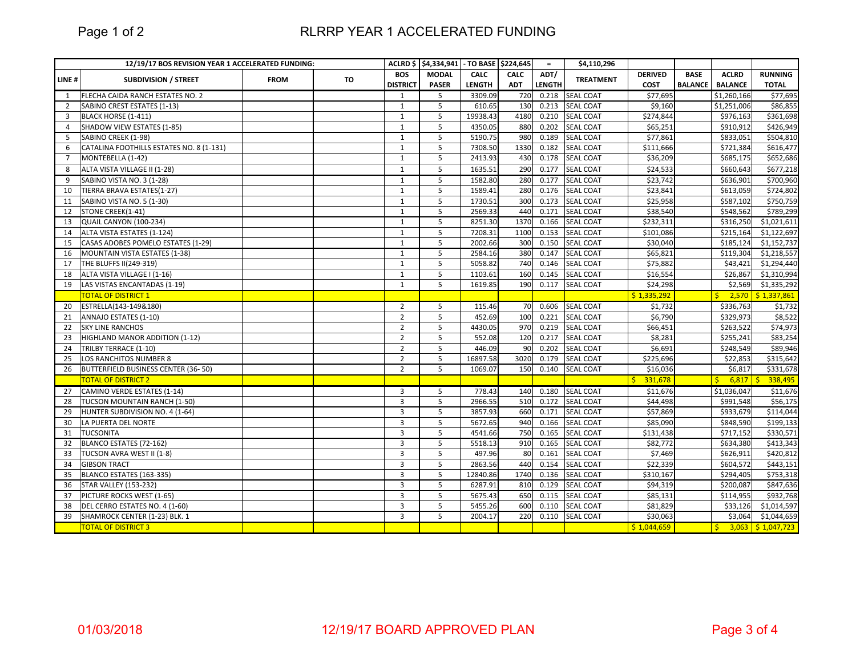## RLRRP YEAR 1 ACCELERATED FUNDING

|                | 12/19/17 BOS REVISION YEAR 1 ACCELERATED FUNDING: |             |           |                 | ACLRD \$ \$4,334,941 - TO BASE \$224,645 |               |             | $=$    | \$4,110,296      |                |                |                  |                     |
|----------------|---------------------------------------------------|-------------|-----------|-----------------|------------------------------------------|---------------|-------------|--------|------------------|----------------|----------------|------------------|---------------------|
| LINE#          | <b>SUBDIVISION / STREET</b>                       | <b>FROM</b> | <b>TO</b> | <b>BOS</b>      | <b>MODAL</b>                             | <b>CALC</b>   | <b>CALC</b> | ADT/   | <b>TREATMENT</b> | <b>DERIVED</b> | <b>BASE</b>    | <b>ACLRD</b>     | <b>RUNNING</b>      |
|                |                                                   |             |           | <b>DISTRICT</b> | <b>PASER</b>                             | <b>LENGTH</b> | <b>ADT</b>  | LENGTH |                  | <b>COST</b>    | <b>BALANCE</b> | <b>BALANCE</b>   | <b>TOTAL</b>        |
| 1              | FLECHA CAIDA RANCH ESTATES NO. 2                  |             |           | 1               | 5                                        | 3309.09       | 720         | 0.218  | <b>SEAL COAT</b> | \$77,695       |                | \$1,260,166      | \$77,695            |
| 2              | SABINO CREST ESTATES (1-13)                       |             |           | $\mathbf{1}$    | 5                                        | 610.65        | 130         | 0.213  | <b>SEAL COAT</b> | \$9.160        |                | \$1,251,006      | \$86,855            |
| $\overline{3}$ | BLACK HORSE (1-411)                               |             |           | $\mathbf{1}$    | 5                                        | 19938.43      | 4180        | 0.210  | <b>SEAL COAT</b> | \$274,844      |                | \$976,163        | \$361,698           |
| $\overline{4}$ | SHADOW VIEW ESTATES (1-85)                        |             |           | $\mathbf{1}$    | 5                                        | 4350.05       | 880         | 0.202  | <b>SEAL COAT</b> | \$65,251       |                | \$910,912        | \$426,949           |
| 5              | SABINO CREEK (1-98)                               |             |           | $\mathbf{1}$    | 5                                        | 5190.75       | 980         | 0.189  | <b>SEAL COAT</b> | \$77,861       |                | \$833,051        | \$504,810           |
| 6              | CATALINA FOOTHILLS ESTATES NO. 8 (1-131)          |             |           | $\mathbf{1}$    | 5                                        | 7308.50       | 1330        | 0.182  | <b>SEAL COAT</b> | \$111,666      |                | \$721,384        | 5616,477            |
| $\overline{7}$ | MONTEBELLA (1-42)                                 |             |           | $\mathbf{1}$    | 5                                        | 2413.93       | 430         | 0.178  | <b>SEAL COAT</b> | \$36,209       |                | \$685,175        | \$652,686           |
| 8              | ALTA VISTA VILLAGE II (1-28)                      |             |           | $\mathbf{1}$    | 5                                        | 1635.51       | 290         | 0.177  | <b>SEAL COAT</b> | \$24,533       |                | \$660,643        | \$677,218           |
| 9              | SABINO VISTA NO. 3 (1-28)                         |             |           | $\mathbf{1}$    | 5                                        | 1582.80       | 280         | 0.177  | <b>SEAL COAT</b> | \$23,742       |                | \$636,901        | \$700,960           |
| 10             | TIERRA BRAVA ESTATES(1-27)                        |             |           | $\mathbf{1}$    | 5                                        | 1589.41       | 280         | 0.176  | <b>SEAL COAT</b> | \$23,841       |                | \$613,059        | \$724,802           |
| 11             | SABINO VISTA NO. 5 (1-30)                         |             |           | $\mathbf{1}$    | 5                                        | 1730.51       | 300         | 0.173  | <b>SEAL COAT</b> | \$25,958       |                | \$587,102        | \$750,759           |
| 12             | STONE CREEK(1-41)                                 |             |           | 1               | 5                                        | 2569.33       | 440         | 0.171  | <b>SEAL COAT</b> | \$38,540       |                | \$548,562        | \$789,299           |
| 13             | QUAIL CANYON (100-234)                            |             |           | $\mathbf{1}$    | 5                                        | 8251.30       | 1370        | 0.166  | <b>SEAL COAT</b> | \$232,311      |                | \$316,250        | \$1,021,611         |
| 14             | ALTA VISTA ESTATES (1-124)                        |             |           | $\mathbf{1}$    | 5                                        | 7208.31       | 1100        | 0.153  | <b>SEAL COAT</b> | \$101,086      |                | \$215,164        | \$1,122,697         |
| 15             | CASAS ADOBES POMELO ESTATES (1-29)                |             |           | $\mathbf{1}$    | 5                                        | 2002.66       | 300         | 0.150  | <b>SEAL COAT</b> | \$30,040       |                | \$185,124        | \$1,152,737         |
| 16             | MOUNTAIN VISTA ESTATES (1-38)                     |             |           | $\mathbf{1}$    | 5                                        | 2584.16       | 380         | 0.147  | <b>SEAL COAT</b> | \$65,821       |                | \$119,304        | \$1,218,557         |
| 17             | THE BLUFFS II(249-319)                            |             |           | $\mathbf{1}$    | 5                                        | 5058.82       | 740         | 0.146  | <b>SEAL COAT</b> | \$75,882       |                | \$43,421         | \$1,294,440         |
| 18             | ALTA VISTA VILLAGE I (1-16)                       |             |           | $\mathbf{1}$    | 5                                        | 1103.61       | 160         | 0.145  | <b>SEAL COAT</b> | \$16,554       |                | \$26,867         | \$1,310,994         |
| 19             | LAS VISTAS ENCANTADAS (1-19)                      |             |           | $\mathbf{1}$    | 5                                        | 1619.85       | 190         | 0.117  | <b>SEAL COAT</b> | \$24,298       |                | \$2,569          | \$1,335,292         |
|                | <b>TOTAL OF DISTRICT 1</b>                        |             |           |                 |                                          |               |             |        |                  | \$1,335,292    |                |                  | $2,570$ \$1,337,861 |
| 20             | ESTRELLA(143-149&180)                             |             |           | $\overline{2}$  | 5                                        | 115.46        | <b>70</b>   | 0.606  | <b>SEAL COAT</b> | \$1,732        |                | \$336,763        | \$1,732             |
| 21             | ANNAJO ESTATES (1-10)                             |             |           | $\overline{2}$  | 5                                        | 452.69        | 100         | 0.221  | <b>SEAL COAT</b> | \$6,790        |                | \$329,973        | \$8,522             |
| 22             | <b>SKY LINE RANCHOS</b>                           |             |           | $\overline{2}$  | 5                                        | 4430.05       | 970         | 0.219  | SEAL COAT        | \$66,451       |                | \$263,522        | \$74,973            |
| 23             | HIGHLAND MANOR ADDITION (1-12)                    |             |           | $\overline{2}$  | 5                                        | 552.08        | 120         | 0.217  | <b>SEAL COAT</b> | \$8,281        |                | \$255,241        | \$83,254            |
| 24             | TRILBY TERRACE (1-10)                             |             |           | $\overline{2}$  | 5                                        | 446.09        | 90          | 0.202  | <b>SEAL COAT</b> | \$6,691        |                | \$248,549        | \$89,946            |
| 25             | LOS RANCHITOS NUMBER 8                            |             |           | $\overline{2}$  | 5                                        | 16897.58      | 3020        | 0.179  | <b>SEAL COAT</b> | \$225,696      |                | \$22,853         | \$315,642           |
| 26             | BUTTERFIELD BUSINESS CENTER (36-50)               |             |           | $\overline{2}$  | 5                                        | 1069.07       | 150         | 0.140  | <b>SEAL COAT</b> | \$16,036       |                | \$6,817          | \$331,678           |
|                | <b>TOTAL OF DISTRICT 2</b>                        |             |           |                 |                                          |               |             |        |                  | 331,678<br>Š.  |                | $6,817$ \$<br>S. | 338,495             |
| 27             | CAMINO VERDE ESTATES (1-14)                       |             |           | 3               | 5                                        | 778.43        | 140         | 0.180  | <b>SEAL COAT</b> | \$11,676       |                | \$1,036,047      | \$11,676            |
| 28             | TUCSON MOUNTAIN RANCH (1-50)                      |             |           | $\overline{3}$  | 5                                        | 2966.55       | 510         | 0.172  | <b>SEAL COAT</b> | \$44,498       |                | \$991,548        | \$56,175            |
| 29             | HUNTER SUBDIVISION NO. 4 (1-64)                   |             |           | $\overline{3}$  | 5                                        | 3857.93       | 660         | 0.171  | <b>SEAL COAT</b> | \$57,869       |                | \$933,679        | \$114,044           |
| 30             | LA PUERTA DEL NORTE                               |             |           | $\overline{3}$  | 5                                        | 5672.65       | 940         | 0.166  | <b>SEAL COAT</b> | \$85,090       |                | \$848,590        | \$199,133           |
| 31             | <b>TUCSONITA</b>                                  |             |           | $\overline{3}$  | 5                                        | 4541.66       | 750         | 0.165  | <b>SEAL COAT</b> | \$131,438      |                | \$717,152        | \$330,571           |
| 32             | BLANCO ESTATES (72-162)                           |             |           | $\overline{3}$  | 5                                        | 5518.13       | 910         | 0.165  | <b>SEAL COAT</b> | \$82,772       |                | \$634,380        | \$413,343           |
| 33             | TUCSON AVRA WEST II (1-8)                         |             |           | $\overline{3}$  | 5                                        | 497.96        | 80          | 0.161  | <b>SEAL COAT</b> | \$7,469        |                | \$626,911        | \$420,812           |
| 34             | <b>GIBSON TRACT</b>                               |             |           | $\overline{3}$  | 5                                        | 2863.56       | 440         | 0.154  | <b>SEAL COAT</b> | \$22,339       |                | \$604,572        | \$443,151           |
| 35             | BLANCO ESTATES (163-335)                          |             |           | $\overline{3}$  | 5                                        | 12840.86      | 1740        | 0.136  | <b>SEAL COAT</b> | \$310,167      |                | \$294,405        | \$753,318           |
| 36             | <b>STAR VALLEY (153-232)</b>                      |             |           | $\overline{3}$  | 5                                        | 6287.91       | 810         | 0.129  | <b>SEAL COAT</b> | \$94,319       |                | \$200,087        | \$847,636           |
| 37             | PICTURE ROCKS WEST (1-65)                         |             |           | $\overline{3}$  | 5                                        | 5675.43       | 650         | 0.115  | <b>SEAL COAT</b> | \$85,131       |                | \$114,955        | \$932,768           |
| 38             | DEL CERRO ESTATES NO. 4 (1-60)                    |             |           | 3               | 5                                        | 5455.26       | 600         | 0.110  | <b>SEAL COAT</b> | \$81,829       |                | \$33,126         | \$1,014,597         |
| 39             | SHAMROCK CENTER (1-23) BLK. 1                     |             |           | $\overline{3}$  | 5                                        | 2004.17       | 220         | 0.110  | <b>SEAL COAT</b> | \$30,063       |                | \$3,064          | \$1,044,659         |
|                | <b>TOTAL OF DISTRICT 3</b>                        |             |           |                 |                                          |               |             |        |                  | \$1,044,659    |                | S.               | $3,063$ \$1,047,723 |